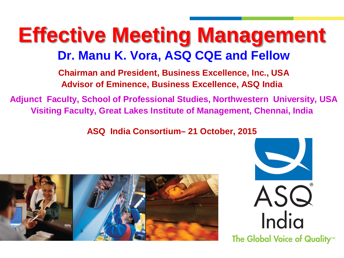### **Effective Meeting Management Dr. Manu K. Vora, ASQ CQE and Fellow**

**Chairman and President, Business Excellence, Inc., USA Advisor of Eminence, Business Excellence, ASQ India** 

**Adjunct Faculty, School of Professional Studies, Northwestern University, USA Visiting Faculty, Great Lakes Institute of Management, Chennai, India**

**ASQ India Consortium– 21 October, 2015**



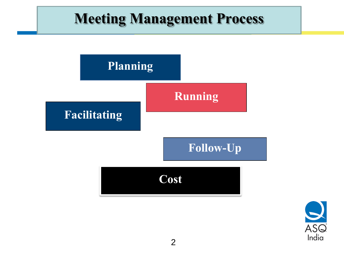#### **Meeting Management Process**



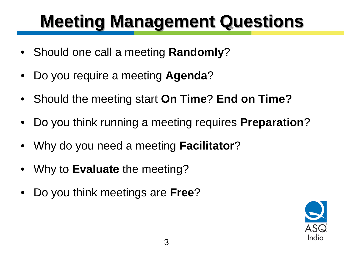## **Meeting Management Questions**

- Should one call a meeting **Randomly**?
- Do you require a meeting **Agenda**?
- Should the meeting start **On Time**? **End on Time?**
- Do you think running a meeting requires **Preparation**?
- Why do you need a meeting **Facilitator**?
- Why to **Evaluate** the meeting?
- Do you think meetings are **Free**?

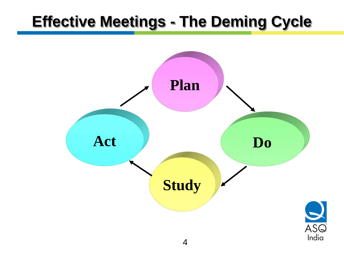#### **Effective Meetings - The Deming Cycle**

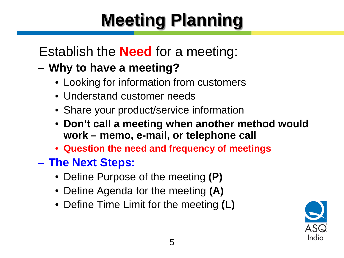# **Meeting Planning**

#### Establish the **Need** for a meeting:

#### – **Why to have a meeting?**

- Looking for information from customers
- Understand customer needs
- Share your product/service information
- **Don't call a meeting when another method would work – memo, e-mail, or telephone call**
- **Question the need and frequency of meetings**
- **The Next Steps:**
	- Define Purpose of the meeting **(P)**
	- Define Agenda for the meeting **(A)**
	- Define Time Limit for the meeting **(L)**

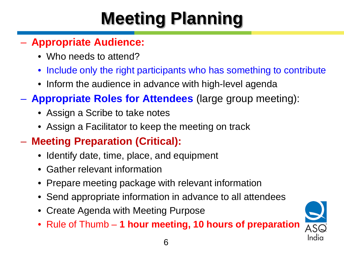# **Meeting Planning**

#### – **Appropriate Audience:**

- Who needs to attend?
- Include only the right participants who has something to contribute
- Inform the audience in advance with high-level agenda
- **Appropriate Roles for Attendees** (large group meeting):
	- Assign a Scribe to take notes
	- Assign a Facilitator to keep the meeting on track

#### – **Meeting Preparation (Critical):**

- Identify date, time, place, and equipment
- Gather relevant information
- Prepare meeting package with relevant information
- Send appropriate information in advance to all attendees
- Create Agenda with Meeting Purpose
- Rule of Thumb **1 hour meeting, 10 hours of preparation**

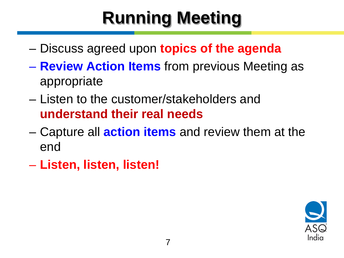## **Running Meeting**

- Discuss agreed upon **topics of the agenda**
- **Review Action Items** from previous Meeting as appropriate
- Listen to the customer/stakeholders and **understand their real needs**
- Capture all **action items** and review them at the end
- **Listen, listen, listen!**

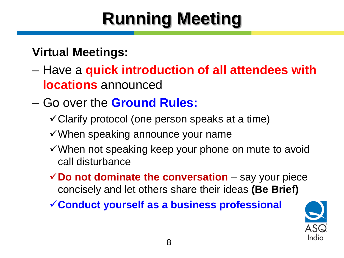# **Running Meeting**

#### **Virtual Meetings:**

- Have a **quick introduction of all attendees with locations** announced
- Go over the **Ground Rules:**
	- $\checkmark$  Clarify protocol (one person speaks at a time)
	- $\checkmark$  When speaking announce your name
	- When not speaking keep your phone on mute to avoid call disturbance
	- **∠Do not dominate the conversation** say your piece concisely and let others share their ideas **(Be Brief)**
	- **Conduct yourself as a business professional**

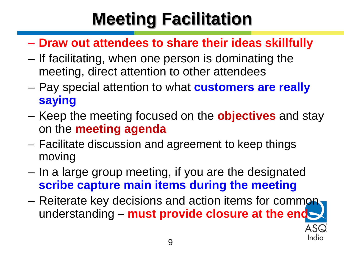## **Meeting Facilitation**

- **Draw out attendees to share their ideas skillfully**
- If facilitating, when one person is dominating the meeting, direct attention to other attendees
- Pay special attention to what **customers are really saying**
- Keep the meeting focused on the **objectives** and stay on the **meeting agenda**
- Facilitate discussion and agreement to keep things moving
- In a large group meeting, if you are the designated **scribe capture main items during the meeting**
- Reiterate key decisions and action items for common understanding – **must provide closure at the end**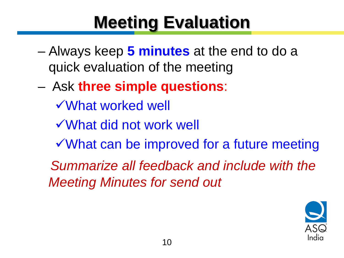## **Meeting Evaluation**

- Always keep **5 minutes** at the end to do a quick evaluation of the meeting
- Ask **three simple questions**:
	- What worked well
	- What did not work well
	- What can be improved for a future meeting

 *Summarize all feedback and include with the Meeting Minutes for send out*

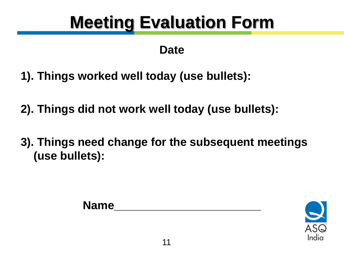## **Meeting Evaluation Form**

#### **Date**

- **1). Things worked well today (use bullets):**
- **2). Things did not work well today (use bullets):**
- **3). Things need change for the subsequent meetings (use bullets):**



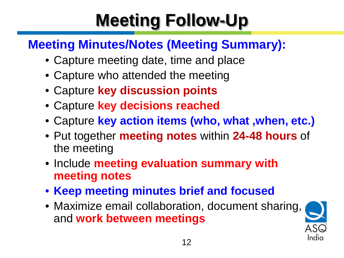# **Meeting Follow-Up**

#### **Meeting Minutes/Notes (Meeting Summary):**

- Capture meeting date, time and place
- Capture who attended the meeting
- Capture **key discussion points**
- Capture **key decisions reached**
- Capture **key action items (who, what ,when, etc.)**
- Put together **meeting notes** within **24-48 hours** of the meeting
- Include **meeting evaluation summary with meeting notes**
- **Keep meeting minutes brief and focused**
- Maximize email collaboration, document sharing, and **work between meetings**

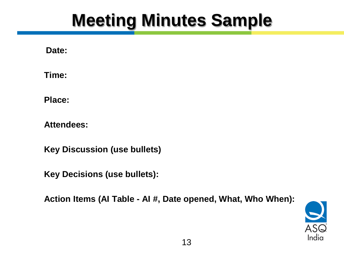### **Meeting Minutes Sample**

**Date:**

**Time:**

**Place:**

**Attendees:**

**Key Discussion (use bullets)**

**Key Decisions (use bullets):**

**Action Items (AI Table - AI #, Date opened, What, Who When):**

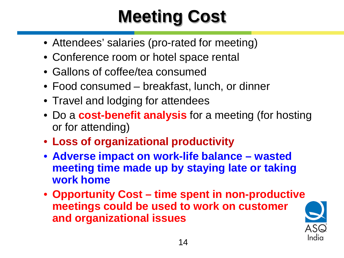# **Meeting Cost**

- Attendees' salaries (pro-rated for meeting)
- Conference room or hotel space rental
- Gallons of coffee/tea consumed
- Food consumed breakfast, lunch, or dinner
- Travel and lodging for attendees
- Do a **cost-benefit analysis** for a meeting (for hosting or for attending)
- **Loss of organizational productivity**
- **Adverse impact on work-life balance – wasted meeting time made up by staying late or taking work home**
- **Opportunity Cost – time spent in non-productive meetings could be used to work on customer and organizational issues**

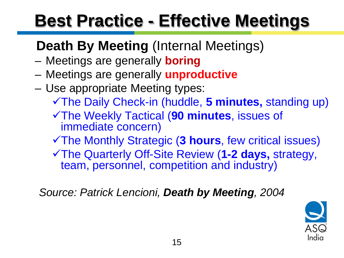## **Best Practice - Effective Meetings**

#### **Death By Meeting** (Internal Meetings)

- Meetings are generally **boring**
- Meetings are generally **unproductive**
- Use appropriate Meeting types:
	- The Daily Check-in (huddle, **5 minutes,** standing up)
	- The Weekly Tactical (**90 minutes**, issues of immediate concern)
	- The Monthly Strategic (**3 hours**, few critical issues)
	- The Quarterly Off-Site Review (**1-2 days,** strategy, team, personnel, competition and industry)

 *Source: Patrick Lencioni, Death by Meeting, 2004*

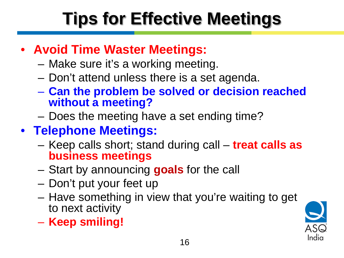# **Tips for Effective Meetings**

#### • **Avoid Time Waster Meetings:**

- Make sure it's a working meeting.
- Don't attend unless there is a set agenda.
- **Can the problem be solved or decision reached without a meeting?**
- Does the meeting have a set ending time?
- **Telephone Meetings:**
	- Keep calls short; stand during call **treat calls as business meetings**
	- Start by announcing **goals** for the call
	- Don't put your feet up
	- Have something in view that you're waiting to get to next activity
	- **Keep smiling!**

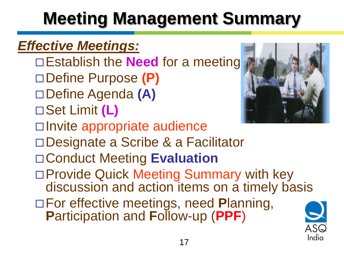# **Meeting Management Summary**

#### *Effective Meetings:*

- □Establish the **Need** for a meeting Define Purpose **(P)**
- Define Agenda **(A)**
- Set Limit **(L)**



- □Invite appropriate audience
- □Designate a Scribe & a Facilitator
- Conduct Meeting **Evaluation**
- □ Provide Quick Meeting Summary with key discussion and action items on a timely basis
- For effective meetings, need **P**lanning, **P**articipation and **F**ollow-up (**PPF**)

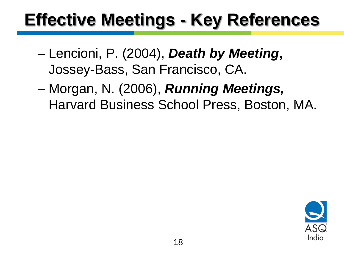## **Effective Meetings - Key References**

- Lencioni, P. (2004), *Death by Meeting***,**  Jossey-Bass, San Francisco, CA.
- Morgan, N. (2006), *Running Meetings,* Harvard Business School Press, Boston, MA.

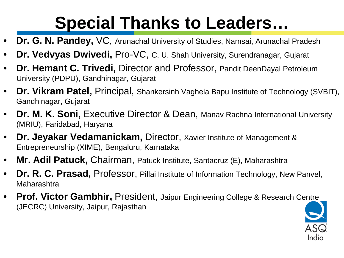## **Special Thanks to Leaders…**

- **Dr. G. N. Pandey,** VC, Arunachal University of Studies, Namsai, Arunachal Pradesh
- **Dr. Vedvyas Dwivedi,** Pro-VC, C. U. Shah University, Surendranagar, Gujarat
- **Dr. Hemant C. Trivedi,** Director and Professor, Pandit DeenDayal Petroleum University (PDPU), Gandhinagar, Gujarat
- **Dr. Vikram Patel,** Principal, Shankersinh Vaghela Bapu Institute of Technology (SVBIT), Gandhinagar, Gujarat
- **Dr. M. K. Soni, Executive Director & Dean, Manav Rachna International University** (MRIU), Faridabad, Haryana
- **Dr. Jeyakar Vedamanickam,** Director, Xavier Institute of Management & Entrepreneurship (XIME), Bengaluru, Karnataka
- **Mr. Adil Patuck,** Chairman, Patuck Institute, Santacruz (E), Maharashtra
- **Dr. R. C. Prasad,** Professor, Pillai Institute of Information Technology, New Panvel, Maharashtra
- **Prof. Victor Gambhir,** President, Jaipur Engineering College & Research Centre (JECRC) University, Jaipur, Rajasthan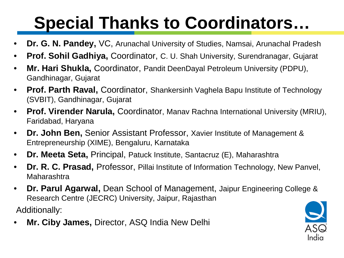### **Special Thanks to Coordinators…**

- **Dr. G. N. Pandey,** VC, Arunachal University of Studies, Namsai, Arunachal Pradesh
- **Prof. Sohil Gadhiya,** Coordinator, C. U. Shah University, Surendranagar, Gujarat
- **Mr. Hari Shukla,** Coordinator, Pandit DeenDayal Petroleum University (PDPU), Gandhinagar, Gujarat
- **Prof. Parth Raval,** Coordinator, Shankersinh Vaghela Bapu Institute of Technology (SVBIT), Gandhinagar, Gujarat
- **Prof. Virender Narula,** Coordinator, Manav Rachna International University (MRIU), Faridabad, Haryana
- **Dr. John Ben,** Senior Assistant Professor, Xavier Institute of Management & Entrepreneurship (XIME), Bengaluru, Karnataka
- **Dr. Meeta Seta,** Principal, Patuck Institute, Santacruz (E), Maharashtra
- **Dr. R. C. Prasad,** Professor, Pillai Institute of Information Technology, New Panvel, Maharashtra
- **Dr. Parul Agarwal,** Dean School of Management, Jaipur Engineering College & Research Centre (JECRC) University, Jaipur, Rajasthan

Additionally:

• **Mr. Ciby James,** Director, ASQ India New Delhi

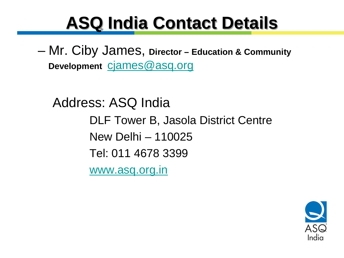### **ASQ India Contact Details**

– Mr. Ciby James, **Director – Education & Community Development** [cjames@asq.org](mailto:cjames@asq.org)

 Address: ASQ India DLF Tower B, Jasola District Centre New Delhi – 110025 Tel: 011 4678 3399 [www.asq.org.in](http://www.asq.org.in/)

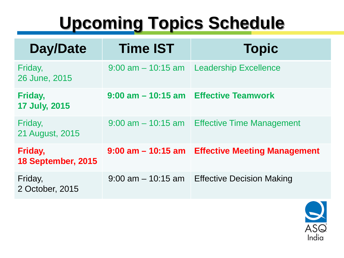### **Upcoming Topics Schedule**

| Day/Date                        | <b>Time IST</b>                       | <b>Topic</b>                        |
|---------------------------------|---------------------------------------|-------------------------------------|
| Friday,<br>26 June, 2015        | $9:00$ am $-10:15$ am                 | <b>Leadership Excellence</b>        |
| Friday,<br><b>17 July, 2015</b> | 9:00 am - 10:15 am Effective Teamwork |                                     |
| Friday,<br>21 August, 2015      | $9:00$ am $-10:15$ am                 | <b>Effective Time Management</b>    |
| Friday,<br>18 September, 2015   | $9:00$ am $-10:15$ am                 | <b>Effective Meeting Management</b> |
| Friday,<br>2 October, 2015      | $9:00$ am $-10:15$ am                 | <b>Effective Decision Making</b>    |

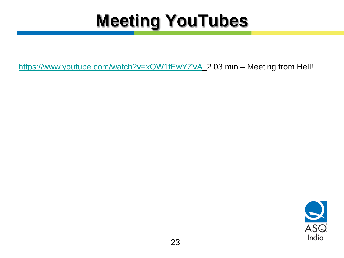## **Meeting YouTubes**

<https://www.youtube.com/watch?v=xQW1fEwYZVA>\_2.03 min - Meeting from Hell!